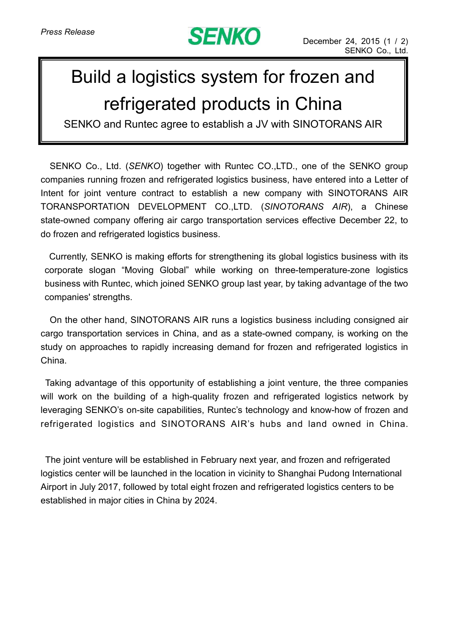

## Build a logistics system for frozen and refrigerated products in China

SENKO and Runtec agree to establish a JV with SINOTORANS AIR

SENKO Co., Ltd. (*SENKO*) together with Runtec CO.,LTD., one of the SENKO group companies running frozen and refrigerated logistics business, have entered into a Letter of Intent for joint venture contract to establish a new company with SINOTORANS AIR TORANSPORTATION DEVELOPMENT CO.,LTD. (*SINOTORANS AIR*), a Chinese state-owned company offering air cargo transportation services effective December 22, to do frozen and refrigerated logistics business.

Currently, SENKO is making efforts for strengthening its global logistics business with its corporate slogan "Moving Global" while working on three-temperature-zone logistics business with Runtec, which joined SENKO group last year, by taking advantage of the two companies' strengths.

On the other hand, SINOTORANS AIR runs a logistics business including consigned air cargo transportation services in China, and as a state-owned company, is working on the study on approaches to rapidly increasing demand for frozen and refrigerated logistics in China.

Taking advantage of this opportunity of establishing a joint venture, the three companies will work on the building of a high-quality frozen and refrigerated logistics network by leveraging SENKO's on-site capabilities, Runtec's technology and know-how of frozen and refrigerated logistics and SINOTORANS AIR's hubs and land owned in China.

The joint venture will be established in February next year, and frozen and refrigerated logistics center will be launched in the location in vicinity to Shanghai Pudong International Airport in July 2017, followed by total eight frozen and refrigerated logistics centers to be established in major cities in China by 2024.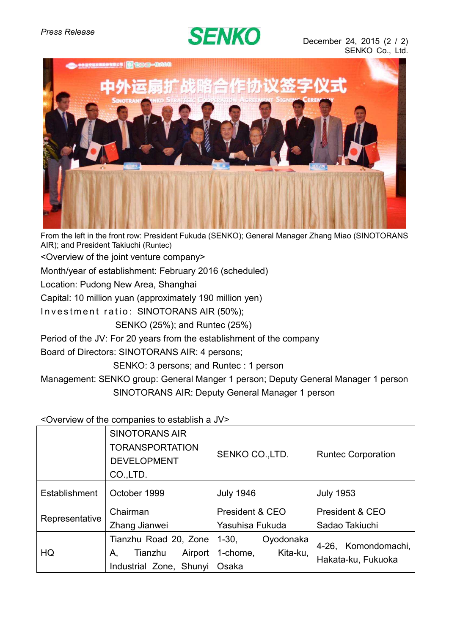## **SENKO**



From the left in the front row: President Fukuda (SENKO); General Manager Zhang Miao (SINOTORANS AIR); and President Takiuchi (Runtec)

<Overview of the joint venture company>

Month/year of establishment: February 2016 (scheduled)

Location: Pudong New Area, Shanghai

Capital: 10 million yuan (approximately 190 million yen)

Investment ratio: SINOTORANS AIR (50%);

SENKO (25%); and Runtec (25%)

Period of the JV: For 20 years from the establishment of the company

Board of Directors: SINOTORANS AIR: 4 persons;

SENKO: 3 persons; and Runtec : 1 person

Management: SENKO group: General Manger 1 person; Deputy General Manager 1 person SINOTORANS AIR: Deputy General Manager 1 person

<Overview of the companies to establish a JV>

|                | <b>SINOTORANS AIR</b><br><b>TORANSPORTATION</b><br><b>DEVELOPMENT</b><br>CO.,LTD. | SENKO CO., LTD.      | <b>Runtec Corporation</b> |
|----------------|-----------------------------------------------------------------------------------|----------------------|---------------------------|
| Establishment  | October 1999                                                                      | <b>July 1946</b>     | <b>July 1953</b>          |
| Representative | Chairman                                                                          | President & CEO      | President & CEO           |
|                | Zhang Jianwei                                                                     | Yasuhisa Fukuda      | Sadao Takiuchi            |
| HQ             | Tianzhu Road 20, Zone                                                             | 1-30,<br>Oyodonaka   | 4-26, Komondomachi,       |
|                | Airport<br>Tianzhu<br>Α,                                                          | 1-chome,<br>Kita-ku, |                           |
|                | Industrial Zone, Shunyi                                                           | Osaka                | Hakata-ku, Fukuoka        |